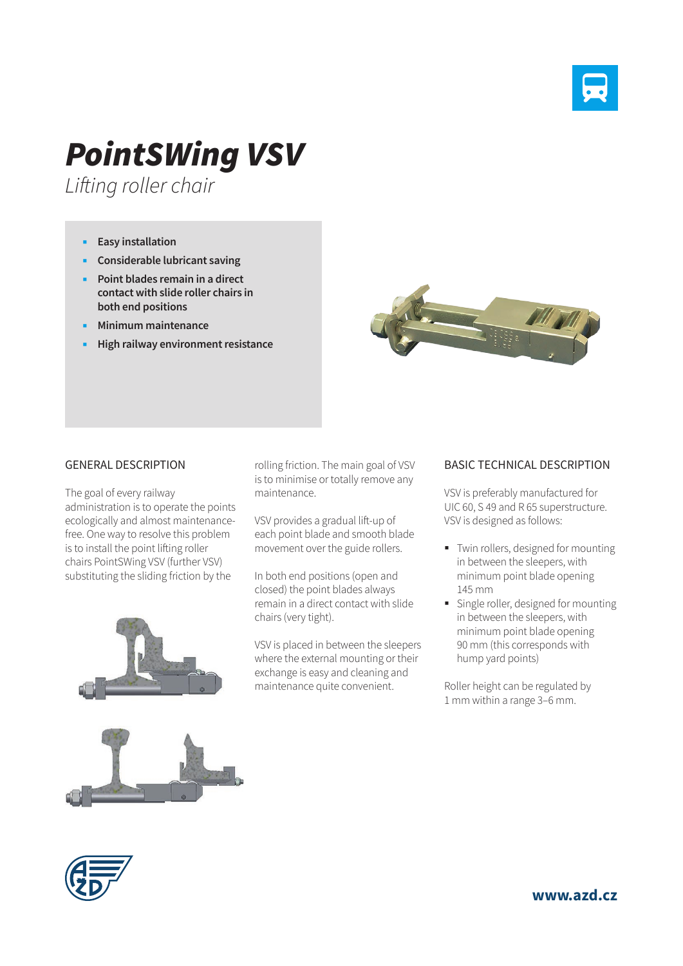

## *PointSWing VSV*

*Lifting roller chair*

- **Easy installation**
- **Considerable lubricant saving**
- **Point blades remain in a direct contact with slide roller chairs in both end positions**
- **Minimum maintenance**
- **High railway environment resistance**



## GENERAL DESCRIPTION

The goal of every railway administration is to operate the points ecologically and almost maintenancefree. One way to resolve this problem is to install the point lifting roller chairs PointSWing VSV (further VSV) substituting the sliding friction by the



rolling friction. The main goal of VSV is to minimise or totally remove any maintenance.

VSV provides a gradual lift-up of each point blade and smooth blade movement over the guide rollers.

In both end positions (open and closed) the point blades always remain in a direct contact with slide chairs (very tight).

VSV is placed in between the sleepers where the external mounting or their exchange is easy and cleaning and maintenance quite convenient.

## BASIC TECHNICAL DESCRIPTION

VSV is preferably manufactured for UIC 60, S 49 and R 65 superstructure. VSV is designed as follows:

- Twin rollers, designed for mounting in between the sleepers, with minimum point blade opening 145 mm
- Single roller, designed for mounting in between the sleepers, with minimum point blade opening 90 mm (this corresponds with hump yard points)

Roller height can be regulated by 1 mm within a range 3–6 mm.